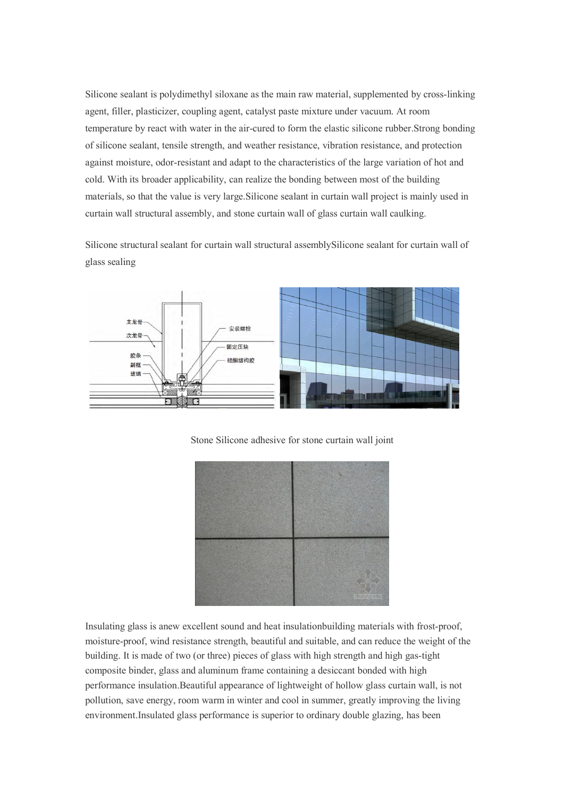Silicone sealant is polydimethyl siloxane as the main raw material, supplemented by cross-linking agent, filler, plasticizer, coupling agent, catalyst paste mixture under vacuum. At room temperature by react with water in the air-cured to form the elastic silicone rubber.Strong bonding of silicone sealant, tensile strength,and weather resistance, vibration resistance, and protection against moisture, odor-resistant and adapt to the characteristics ofthe large variation of hot and cold. With its broader applicability, can realize the bonding between most of the building materials, so that the value is very large.Silicone sealant in curtain wall project is mainly used in curtain wall structural assembly, and stone curtain wall of glass curtain wall caulking.

Silicone structural sealant for curtain wall structural assemblySilicone sealant for curtain wall of glass sealing





Stone Silicone adhesive for stone curtain wall joint

Insulating glass is anew excellent sound and heat insulationbuilding materials with frost-proof, moisture-proof, wind resistance strength, beautiful and suitable, and can reduce the weight of the building. It is made of two (or three) pieces of glass with high strength and high gas-tight composite binder, glass and aluminum frame containing a desiccant bonded with high performance insulation.Beautiful appearance of lightweight of hollow glass curtain wall, is not pollution, save energy, room warm in winter and cool in summer, greatly improving the living environment.Insulated glass performance is superior to ordinary double glazing, has been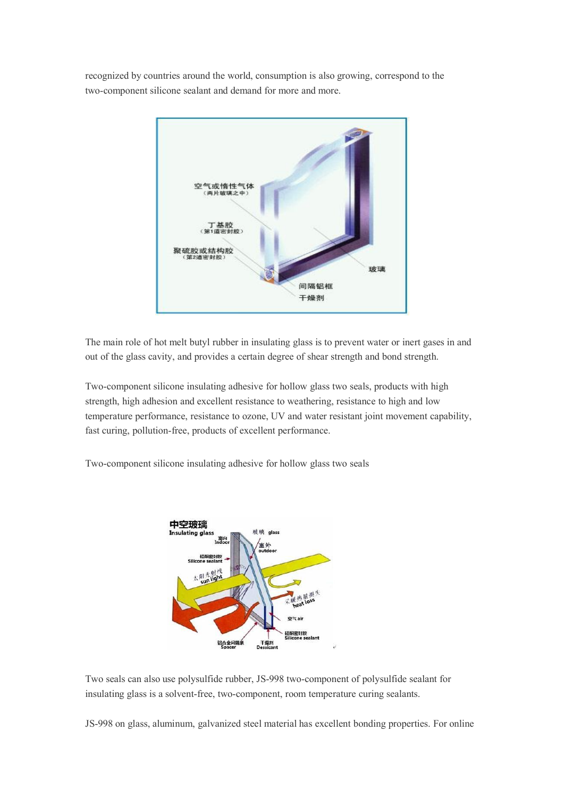recognized by countries around the world, consumption is also growing, correspond to the two-component silicone sealant and demand for more and more.



The main role of hot melt butyl rubber in insulating glass is to prevent water or inert gases in and out of the glass cavity, and provides a certain degree of shear strength and bond strength.

Two-component silicone insulating adhesive for hollow glass two seals, products with high strength, high adhesion and excellent resistance to weathering, resistance to high and low temperature performance, resistance to ozone, UV and water resistant joint movement capability, fast curing, pollution-free, products of excellent performance.

Two-component silicone insulating adhesive for hollow glass two seals



Two seals can also use polysulfide rubber, JS-998 two-component of polysulfide sealant for insulating glass is a solvent-free, two-component, room temperature curing sealants.

JS-998 on glass, aluminum, galvanized steel material has excellent bonding properties. For online